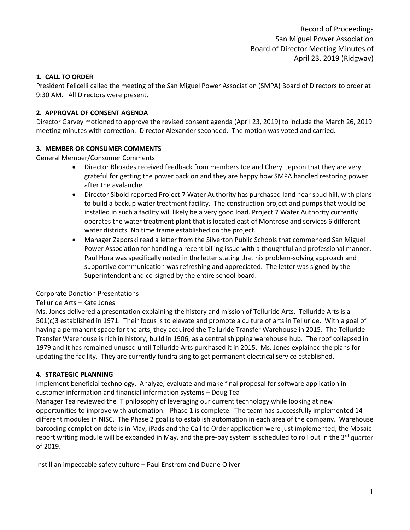## **1. CALL TO ORDER**

President Felicelli called the meeting of the San Miguel Power Association (SMPA) Board of Directors to order at 9:30 AM. All Directors were present.

### **2. APPROVAL OF CONSENT AGENDA**

Director Garvey motioned to approve the revised consent agenda (April 23, 2019) to include the March 26, 2019 meeting minutes with correction. Director Alexander seconded. The motion was voted and carried.

### **3. MEMBER OR CONSUMER COMMENTS**

General Member/Consumer Comments

- Director Rhoades received feedback from members Joe and Cheryl Jepson that they are very grateful for getting the power back on and they are happy how SMPA handled restoring power after the avalanche.
- Director Sibold reported Project 7 Water Authority has purchased land near spud hill, with plans to build a backup water treatment facility. The construction project and pumps that would be installed in such a facility will likely be a very good load. Project 7 Water Authority currently operates the water treatment plant that is located east of Montrose and services 6 different water districts. No time frame established on the project.
- Manager Zaporski read a letter from the Silverton Public Schools that commended San Miguel Power Association for handling a recent billing issue with a thoughtful and professional manner. Paul Hora was specifically noted in the letter stating that his problem-solving approach and supportive communication was refreshing and appreciated. The letter was signed by the Superintendent and co-signed by the entire school board.

### Corporate Donation Presentations

### Telluride Arts – Kate Jones

Ms. Jones delivered a presentation explaining the history and mission of Telluride Arts. Telluride Arts is a 501(c)3 established in 1971. Their focus is to elevate and promote a culture of arts in Telluride. With a goal of having a permanent space for the arts, they acquired the Telluride Transfer Warehouse in 2015. The Telluride Transfer Warehouse is rich in history, build in 1906, as a central shipping warehouse hub. The roof collapsed in 1979 and it has remained unused until Telluride Arts purchased it in 2015. Ms. Jones explained the plans for updating the facility. They are currently fundraising to get permanent electrical service established.

### **4. STRATEGIC PLANNING**

Implement beneficial technology. Analyze, evaluate and make final proposal for software application in customer information and financial information systems – Doug Tea

Manager Tea reviewed the IT philosophy of leveraging our current technology while looking at new opportunities to improve with automation. Phase 1 is complete. The team has successfully implemented 14 different modules in NISC. The Phase 2 goal is to establish automation in each area of the company. Warehouse barcoding completion date is in May, iPads and the Call to Order application were just implemented, the Mosaic report writing module will be expanded in May, and the pre-pay system is scheduled to roll out in the  $3^{rd}$  quarter of 2019.

Instill an impeccable safety culture – Paul Enstrom and Duane Oliver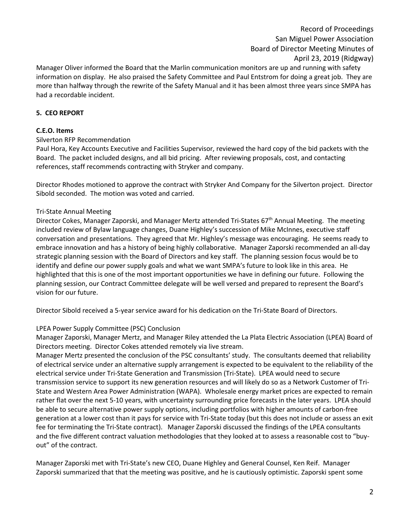# Record of Proceedings San Miguel Power Association Board of Director Meeting Minutes of April 23, 2019 (Ridgway)

Manager Oliver informed the Board that the Marlin communication monitors are up and running with safety information on display. He also praised the Safety Committee and Paul Entstrom for doing a great job. They are more than halfway through the rewrite of the Safety Manual and it has been almost three years since SMPA has had a recordable incident.

### **5. CEO REPORT**

### **C.E.O. Items**

#### Silverton RFP Recommendation

Paul Hora, Key Accounts Executive and Facilities Supervisor, reviewed the hard copy of the bid packets with the Board. The packet included designs, and all bid pricing. After reviewing proposals, cost, and contacting references, staff recommends contracting with Stryker and company.

Director Rhodes motioned to approve the contract with Stryker And Company for the Silverton project. Director Sibold seconded. The motion was voted and carried.

#### Tri-State Annual Meeting

Director Cokes, Manager Zaporski, and Manager Mertz attended Tri-States 67<sup>th</sup> Annual Meeting. The meeting included review of Bylaw language changes, Duane Highley's succession of Mike McInnes, executive staff conversation and presentations. They agreed that Mr. Highley's message was encouraging. He seems ready to embrace innovation and has a history of being highly collaborative. Manager Zaporski recommended an all-day strategic planning session with the Board of Directors and key staff. The planning session focus would be to identify and define our power supply goals and what we want SMPA's future to look like in this area. He highlighted that this is one of the most important opportunities we have in defining our future. Following the planning session, our Contract Committee delegate will be well versed and prepared to represent the Board's vision for our future.

Director Sibold received a 5-year service award for his dedication on the Tri-State Board of Directors.

#### LPEA Power Supply Committee (PSC) Conclusion

Manager Zaporski, Manager Mertz, and Manager Riley attended the La Plata Electric Association (LPEA) Board of Directors meeting. Director Cokes attended remotely via live stream.

Manager Mertz presented the conclusion of the PSC consultants' study. The consultants deemed that reliability of electrical service under an alternative supply arrangement is expected to be equivalent to the reliability of the electrical service under Tri-State Generation and Transmission (Tri-State). LPEA would need to secure transmission service to support its new generation resources and will likely do so as a Network Customer of Tri-State and Western Area Power Administration (WAPA). Wholesale energy market prices are expected to remain rather flat over the next 5-10 years, with uncertainty surrounding price forecasts in the later years. LPEA should be able to secure alternative power supply options, including portfolios with higher amounts of carbon-free generation at a lower cost than it pays for service with Tri-State today (but this does not include or assess an exit fee for terminating the Tri-State contract). Manager Zaporski discussed the findings of the LPEA consultants and the five different contract valuation methodologies that they looked at to assess a reasonable cost to "buyout" of the contract.

Manager Zaporski met with Tri-State's new CEO, Duane Highley and General Counsel, Ken Reif. Manager Zaporski summarized that that the meeting was positive, and he is cautiously optimistic. Zaporski spent some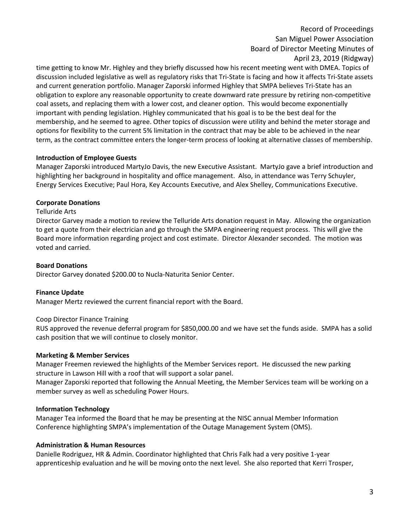# Record of Proceedings San Miguel Power Association Board of Director Meeting Minutes of April 23, 2019 (Ridgway)

time getting to know Mr. Highley and they briefly discussed how his recent meeting went with DMEA. Topics of discussion included legislative as well as regulatory risks that Tri-State is facing and how it affects Tri-State assets and current generation portfolio. Manager Zaporski informed Highley that SMPA believes Tri-State has an obligation to explore any reasonable opportunity to create downward rate pressure by retiring non-competitive coal assets, and replacing them with a lower cost, and cleaner option. This would become exponentially important with pending legislation. Highley communicated that his goal is to be the best deal for the membership, and he seemed to agree. Other topics of discussion were utility and behind the meter storage and options for flexibility to the current 5% limitation in the contract that may be able to be achieved in the near term, as the contract committee enters the longer-term process of looking at alternative classes of membership.

### **Introduction of Employee Guests**

Manager Zaporski introduced MartyJo Davis, the new Executive Assistant. MartyJo gave a brief introduction and highlighting her background in hospitality and office management. Also, in attendance was Terry Schuyler, Energy Services Executive; Paul Hora, Key Accounts Executive, and Alex Shelley, Communications Executive.

## **Corporate Donations**

### Telluride Arts

Director Garvey made a motion to review the Telluride Arts donation request in May. Allowing the organization to get a quote from their electrician and go through the SMPA engineering request process. This will give the Board more information regarding project and cost estimate. Director Alexander seconded. The motion was voted and carried.

### **Board Donations**

Director Garvey donated \$200.00 to Nucla-Naturita Senior Center.

### **Finance Update**

Manager Mertz reviewed the current financial report with the Board.

### Coop Director Finance Training

RUS approved the revenue deferral program for \$850,000.00 and we have set the funds aside. SMPA has a solid cash position that we will continue to closely monitor.

### **Marketing & Member Services**

Manager Freemen reviewed the highlights of the Member Services report. He discussed the new parking structure in Lawson Hill with a roof that will support a solar panel.

Manager Zaporski reported that following the Annual Meeting, the Member Services team will be working on a member survey as well as scheduling Power Hours.

### **Information Technology**

Manager Tea informed the Board that he may be presenting at the NISC annual Member Information Conference highlighting SMPA's implementation of the Outage Management System (OMS).

### **Administration & Human Resources**

Danielle Rodriguez, HR & Admin. Coordinator highlighted that Chris Falk had a very positive 1-year apprenticeship evaluation and he will be moving onto the next level. She also reported that Kerri Trosper,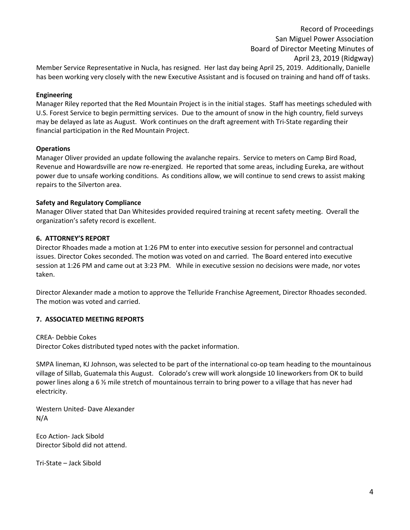Record of Proceedings San Miguel Power Association Board of Director Meeting Minutes of April 23, 2019 (Ridgway) Member Service Representative in Nucla, has resigned. Her last day being April 25, 2019. Additionally, Danielle has been working very closely with the new Executive Assistant and is focused on training and hand off of tasks.

### **Engineering**

Manager Riley reported that the Red Mountain Project is in the initial stages. Staff has meetings scheduled with U.S. Forest Service to begin permitting services. Due to the amount of snow in the high country, field surveys may be delayed as late as August. Work continues on the draft agreement with Tri-State regarding their financial participation in the Red Mountain Project.

#### **Operations**

Manager Oliver provided an update following the avalanche repairs. Service to meters on Camp Bird Road, Revenue and Howardsville are now re-energized. He reported that some areas, including Eureka, are without power due to unsafe working conditions. As conditions allow, we will continue to send crews to assist making repairs to the Silverton area.

#### **Safety and Regulatory Compliance**

Manager Oliver stated that Dan Whitesides provided required training at recent safety meeting. Overall the organization's safety record is excellent.

#### **6. ATTORNEY'S REPORT**

Director Rhoades made a motion at 1:26 PM to enter into executive session for personnel and contractual issues. Director Cokes seconded. The motion was voted on and carried. The Board entered into executive session at 1:26 PM and came out at 3:23 PM. While in executive session no decisions were made, nor votes taken.

Director Alexander made a motion to approve the Telluride Franchise Agreement, Director Rhoades seconded. The motion was voted and carried.

### **7. ASSOCIATED MEETING REPORTS**

CREA- Debbie Cokes

Director Cokes distributed typed notes with the packet information.

SMPA lineman, KJ Johnson, was selected to be part of the international co-op team heading to the mountainous village of Sillab, Guatemala this August. Colorado's crew will work alongside 10 lineworkers from OK to build power lines along a 6 ½ mile stretch of mountainous terrain to bring power to a village that has never had electricity.

Western United- Dave Alexander N/A

Eco Action- Jack Sibold Director Sibold did not attend.

Tri-State – Jack Sibold